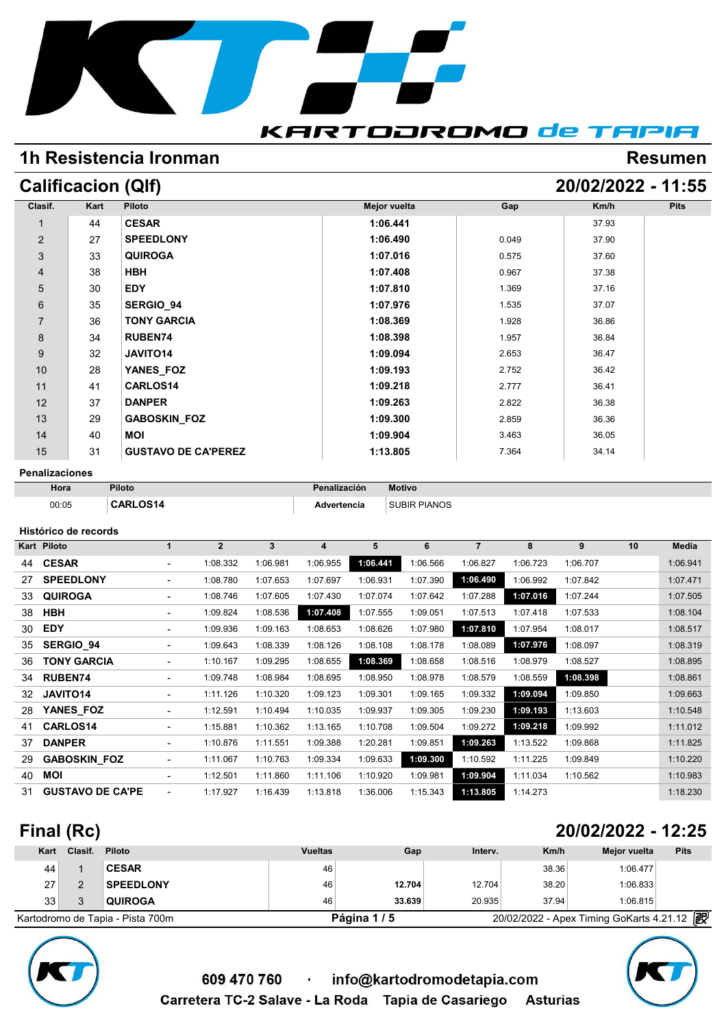

# **1h Resistencia Ironman Resumen Resumen**

# **Calificacion (Qlf) 20/02/2022 - 11:55**

| Clasif.              | Kart | Piloto                     | <b>Mejor vuelta</b> | Gap   | Km/h  | <b>Pits</b> |
|----------------------|------|----------------------------|---------------------|-------|-------|-------------|
| $\blacktriangleleft$ | 44   | <b>CESAR</b>               | 1:06.441            |       | 37.93 |             |
| $\overline{2}$       | 27   | <b>SPEEDLONY</b>           | 1:06.490            | 0.049 | 37.90 |             |
| $\sqrt{3}$           | 33   | <b>QUIROGA</b>             | 1:07.016            | 0.575 | 37.60 |             |
| $\overline{4}$       | 38   | <b>HBH</b>                 | 1:07.408            | 0.967 | 37.38 |             |
| $\sqrt{5}$           | 30   | <b>EDY</b>                 | 1:07.810            | 1.369 | 37.16 |             |
| 6                    | 35   | SERGIO_94                  | 1:07.976            | 1.535 | 37.07 |             |
| $\overline{7}$       | 36   | <b>TONY GARCIA</b>         | 1:08.369            | 1.928 | 36.86 |             |
| 8                    | 34   | <b>RUBEN74</b>             | 1:08.398            | 1.957 | 36.84 |             |
| 9                    | 32   | JAVITO14                   | 1:09.094            | 2.653 | 36.47 |             |
| 10                   | 28   | YANES FOZ                  | 1:09.193            | 2.752 | 36.42 |             |
| 11                   | 41   | CARLOS14                   | 1:09.218            | 2.777 | 36.41 |             |
| 12                   | 37   | <b>DANPER</b>              | 1:09.263            | 2.822 | 36.38 |             |
| 13                   | 29   | <b>GABOSKIN FOZ</b>        | 1:09.300            | 2.859 | 36.36 |             |
| 14                   | 40   | <b>MOI</b>                 | 1:09.904            | 3.463 | 36.05 |             |
| 15                   | 31   | <b>GUSTAVO DE CA'PEREZ</b> | 1:13.805            | 7.364 | 34.14 |             |

**Penalizaciones**

| Hora  | Piloto          | Penalización | <b>Motivo</b>       |
|-------|-----------------|--------------|---------------------|
| 00:05 | <b>CARLOS14</b> | Advertencia  | <b>SUBIR PIANOS</b> |

#### **Histórico de records**

|    | Histórico de records    |                          |                |          |          |          |          |                |          |          |    |          |
|----|-------------------------|--------------------------|----------------|----------|----------|----------|----------|----------------|----------|----------|----|----------|
|    | Kart Piloto             | $\mathbf 1$              | $\overline{2}$ | 3        | 4        | 5        | 6        | $\overline{7}$ | 8        | 9        | 10 | Media    |
| 44 | <b>CESAR</b>            | $\sim$                   | 1:08.332       | 1:06.981 | 1:06.955 | 1:06.441 | 1:06.566 | 1:06.827       | 1:06.723 | 1:06.707 |    | 1:06.941 |
| 27 | <b>SPEEDLONY</b>        | ٠                        | 1:08.780       | 1:07.653 | 1:07.697 | 1:06.931 | 1:07.390 | 1:06.490       | 1:06.992 | 1:07.842 |    | 1:07.471 |
| 33 | <b>QUIROGA</b>          | ۰.                       | 1:08.746       | 1:07.605 | 1:07.430 | 1:07.074 | 1:07.642 | 1:07.288       | 1:07.016 | 1:07.244 |    | 1:07.505 |
| 38 | <b>HBH</b>              |                          | 1:09.824       | 1:08.536 | 1:07.408 | 1:07.555 | 1:09.051 | 1:07.513       | 1:07.418 | 1:07.533 |    | 1:08.104 |
| 30 | <b>EDY</b>              |                          | 1:09.936       | 1:09.163 | 1:08.653 | 1:08.626 | 1:07.980 | 1:07.810       | 1:07.954 | 1:08.017 |    | 1:08.517 |
| 35 | <b>SERGIO 94</b>        | $\sim$                   | 1:09.643       | 1:08.339 | 1:08.126 | 1:08.108 | 1:08.178 | 1:08.089       | 1:07.976 | 1:08.097 |    | 1:08.319 |
| 36 | <b>TONY GARCIA</b>      | $\overline{\phantom{a}}$ | 1:10.167       | 1:09.295 | 1:08.655 | 1:08.369 | 1:08.658 | 1:08.516       | 1:08.979 | 1:08.527 |    | 1:08.895 |
| 34 | <b>RUBEN74</b>          | $\sim$                   | 1:09.748       | 1:08.984 | 1:08.695 | 1:08.950 | 1:08.978 | 1:08.579       | 1:08.559 | 1:08.398 |    | 1:08.861 |
| 32 | JAVITO14                | ۰.                       | 1:11.126       | 1:10.320 | 1:09.123 | 1:09.301 | 1:09.165 | 1:09.332       | 1:09.094 | 1:09.850 |    | 1:09.663 |
| 28 | YANES FOZ               | $\sim$                   | 1:12.591       | 1:10.494 | 1:10.035 | 1:09.937 | 1:09.305 | 1:09.230       | 1:09.193 | 1:13.603 |    | 1:10.548 |
| 41 | CARLOS14                | $\sim$                   | 1:15.881       | 1:10.362 | 1:13.165 | 1:10.708 | 1:09.504 | 1:09.272       | 1:09.218 | 1:09.992 |    | 1:11.012 |
| 37 | <b>DANPER</b>           | $\sim$                   | 1:10.876       | 1:11.551 | 1:09.388 | 1:20.281 | 1:09.851 | 1:09.263       | 1:13.522 | 1:09.868 |    | 1:11.825 |
| 29 | <b>GABOSKIN FOZ</b>     | ۰.                       | 1:11.067       | 1:10.763 | 1:09.334 | 1:09.633 | 1:09.300 | 1:10.592       | 1:11.225 | 1:09.849 |    | 1:10.220 |
| 40 | <b>MOI</b>              | ۰.                       | 1:12.501       | 1:11.860 | 1:11.106 | 1:10.920 | 1:09.981 | 1:09.904       | 1:11.034 | 1:10.562 |    | 1:10.983 |
| 31 | <b>GUSTAVO DE CA'PE</b> |                          | 1:17.927       | 1:16.439 | 1:13.818 | 1:36.006 | 1:15.343 | 1:13.805       | 1:14.273 |          |    | 1:18.230 |

## **Final (Rc) 20/02/2022 - 12:25**

| Kart | Clasif. | <b>Piloto</b>                    | <b>Vueltas</b> | Gap        | Interv. | Km/h  | Mejor vuelta                               | <b>Pits</b> |
|------|---------|----------------------------------|----------------|------------|---------|-------|--------------------------------------------|-------------|
| 44   |         | <b>CESAR</b>                     | 46             |            |         | 38.36 | 1:06.477                                   |             |
| 27   |         | <b>SPEEDLONY</b>                 | 46             | 12.704     | 12.704  | 38.20 | 1:06.833                                   |             |
| 33   |         | <b>QUIROGA</b>                   | 46             | 33.639     | 20.935  | 37.94 | 1:06.815                                   |             |
|      |         | Kartodromo de Tapia - Pista 700m |                | Página 1/5 |         |       | 20/02/2022 - Apex Timing GoKarts 4.21.12 2 |             |



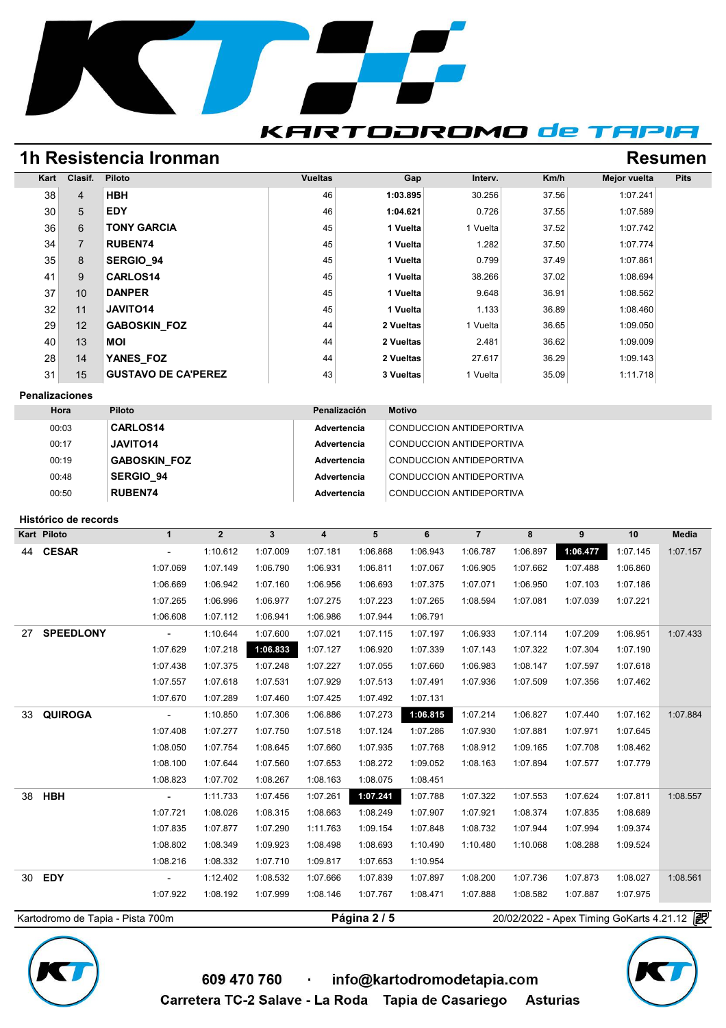

### **KARTODROMO de TAPIA**

## **1h Resistencia Ironman Resumen Resumen**

| Kart            | Clasif.        | <b>Piloto</b>              | <b>Vueltas</b> | Gap       | Interv.  | Km/h  | Mejor vuelta | <b>Pits</b> |
|-----------------|----------------|----------------------------|----------------|-----------|----------|-------|--------------|-------------|
| 38              | $\overline{4}$ | <b>HBH</b>                 | 46             | 1:03.895  | 30.256   | 37.56 | 1:07.241     |             |
| 30 <sup>°</sup> | 5              | <b>EDY</b>                 | 46             | 1:04.621  | 0.726    | 37.55 | 1:07.589     |             |
| 36              | 6              | <b>TONY GARCIA</b>         | 45             | 1 Vuelta  | 1 Vuelta | 37.52 | 1:07.742     |             |
| 34              | $\overline{7}$ | <b>RUBEN74</b>             | 45             | 1 Vuelta  | 1.282    | 37.50 | 1:07.774     |             |
| 35              | 8              | <b>SERGIO 94</b>           | 45             | 1 Vuelta  | 0.799    | 37.49 | 1:07.861     |             |
| 41              | 9              | <b>CARLOS14</b>            | 45             | 1 Vuelta  | 38.266   | 37.02 | 1:08.694     |             |
| 37              | 10             | <b>DANPER</b>              | 45             | 1 Vuelta  | 9.648    | 36.91 | 1:08.562     |             |
| 32              | 11             | JAVITO14                   | 45             | 1 Vuelta  | 1.133    | 36.89 | 1:08.460     |             |
| 29              | 12             | <b>GABOSKIN FOZ</b>        | 44             | 2 Vueltas | 1 Vuelta | 36.65 | 1:09.050     |             |
| 40              | 13             | <b>MOI</b>                 | 44             | 2 Vueltas | 2.481    | 36.62 | 1:09.009     |             |
| 28              | 14             | YANES FOZ                  | 44             | 2 Vueltas | 27.617   | 36.29 | 1:09.143     |             |
| 31              | 15             | <b>GUSTAVO DE CA'PEREZ</b> | 43             | 3 Vueltas | 1 Vuelta | 35.09 | 1:11.718     |             |

#### **Penalizaciones**

| Hora  | Piloto              | Penalización | <b>Motivo</b>            |
|-------|---------------------|--------------|--------------------------|
| 00:03 | <b>CARLOS14</b>     | Advertencia  | CONDUCCION ANTIDEPORTIVA |
| 00:17 | <b>JAVITO14</b>     | Advertencia  | CONDUCCION ANTIDEPORTIVA |
| 00:19 | <b>GABOSKIN FOZ</b> | Advertencia  | CONDUCCION ANTIDEPORTIVA |
| 00:48 | SERGIO 94           | Advertencia  | CONDUCCION ANTIDEPORTIVA |
| 00:50 | <b>RUBEN74</b>      | Advertencia  | CONDUCCION ANTIDEPORTIVA |

#### **Histórico de records**

|    | Kart Piloto      | $\mathbf{1}$                | $\overline{2}$ | $\mathbf{3}$ | 4        | 5        | 6        | $\overline{7}$ | 8        | 9        | 10       | Media    |
|----|------------------|-----------------------------|----------------|--------------|----------|----------|----------|----------------|----------|----------|----------|----------|
|    | 44 CESAR         | $\overline{\phantom{a}}$    | 1:10.612       | 1:07.009     | 1:07.181 | 1:06.868 | 1:06.943 | 1:06.787       | 1:06.897 | 1:06.477 | 1:07.145 | 1:07.157 |
|    |                  | 1:07.069                    | 1:07.149       | 1:06.790     | 1:06.931 | 1:06.811 | 1:07.067 | 1:06.905       | 1:07.662 | 1:07.488 | 1:06.860 |          |
|    |                  | 1:06.669                    | 1:06.942       | 1:07.160     | 1:06.956 | 1:06.693 | 1:07.375 | 1:07.071       | 1:06.950 | 1:07.103 | 1:07.186 |          |
|    |                  | 1:07.265                    | 1:06.996       | 1:06.977     | 1:07.275 | 1:07.223 | 1:07.265 | 1:08.594       | 1:07.081 | 1:07.039 | 1:07.221 |          |
|    |                  | 1:06.608                    | 1:07.112       | 1:06.941     | 1:06.986 | 1:07.944 | 1:06.791 |                |          |          |          |          |
| 27 | <b>SPEEDLONY</b> | $\mathcal{L}_{\mathcal{A}}$ | 1:10.644       | 1:07.600     | 1:07.021 | 1:07.115 | 1:07.197 | 1:06.933       | 1:07.114 | 1:07.209 | 1:06.951 | 1:07.433 |
|    |                  | 1:07.629                    | 1:07.218       | 1:06.833     | 1:07.127 | 1:06.920 | 1:07.339 | 1:07.143       | 1:07.322 | 1:07.304 | 1:07.190 |          |
|    |                  | 1:07.438                    | 1:07.375       | 1:07.248     | 1:07.227 | 1:07.055 | 1:07.660 | 1:06.983       | 1:08.147 | 1:07.597 | 1:07.618 |          |
|    |                  | 1:07.557                    | 1:07.618       | 1:07.531     | 1:07.929 | 1:07.513 | 1:07.491 | 1:07.936       | 1:07.509 | 1:07.356 | 1:07.462 |          |
|    |                  | 1:07.670                    | 1:07.289       | 1:07.460     | 1:07.425 | 1:07.492 | 1:07.131 |                |          |          |          |          |
| 33 | <b>QUIROGA</b>   | $\sim$                      | 1:10.850       | 1:07.306     | 1:06.886 | 1:07.273 | 1:06.815 | 1:07.214       | 1:06.827 | 1:07.440 | 1:07.162 | 1:07.884 |
|    |                  | 1:07.408                    | 1:07.277       | 1:07.750     | 1:07.518 | 1:07.124 | 1:07.286 | 1:07.930       | 1:07.881 | 1:07.971 | 1:07.645 |          |
|    |                  | 1:08.050                    | 1:07.754       | 1:08.645     | 1:07.660 | 1:07.935 | 1:07.768 | 1:08.912       | 1:09.165 | 1:07.708 | 1:08.462 |          |
|    |                  | 1:08.100                    | 1:07.644       | 1:07.560     | 1:07.653 | 1:08.272 | 1:09.052 | 1:08.163       | 1:07.894 | 1:07.577 | 1:07.779 |          |
|    |                  | 1:08.823                    | 1:07.702       | 1:08.267     | 1:08.163 | 1:08.075 | 1:08.451 |                |          |          |          |          |
|    | 38 HBH           | $\overline{\phantom{a}}$    | 1:11.733       | 1:07.456     | 1:07.261 | 1:07.241 | 1:07.788 | 1:07.322       | 1:07.553 | 1:07.624 | 1:07.811 | 1:08.557 |
|    |                  | 1:07.721                    | 1:08.026       | 1:08.315     | 1:08.663 | 1:08.249 | 1:07.907 | 1:07.921       | 1:08.374 | 1:07.835 | 1:08.689 |          |
|    |                  | 1:07.835                    | 1:07.877       | 1:07.290     | 1:11.763 | 1:09.154 | 1:07.848 | 1:08.732       | 1:07.944 | 1:07.994 | 1:09.374 |          |
|    |                  | 1:08.802                    | 1:08.349       | 1:09.923     | 1:08.498 | 1:08.693 | 1:10.490 | 1:10.480       | 1:10.068 | 1:08.288 | 1:09.524 |          |
|    |                  | 1:08.216                    | 1:08.332       | 1:07.710     | 1:09.817 | 1:07.653 | 1:10.954 |                |          |          |          |          |
|    | 30 EDY           | $\overline{\phantom{a}}$    | 1:12.402       | 1:08.532     | 1:07.666 | 1:07.839 | 1:07.897 | 1:08.200       | 1:07.736 | 1:07.873 | 1:08.027 | 1:08.561 |
|    |                  | 1:07.922                    | 1:08.192       | 1:07.999     | 1:08.146 | 1:07.767 | 1:08.471 | 1:07.888       | 1:08.582 | 1:07.887 | 1:07.975 |          |



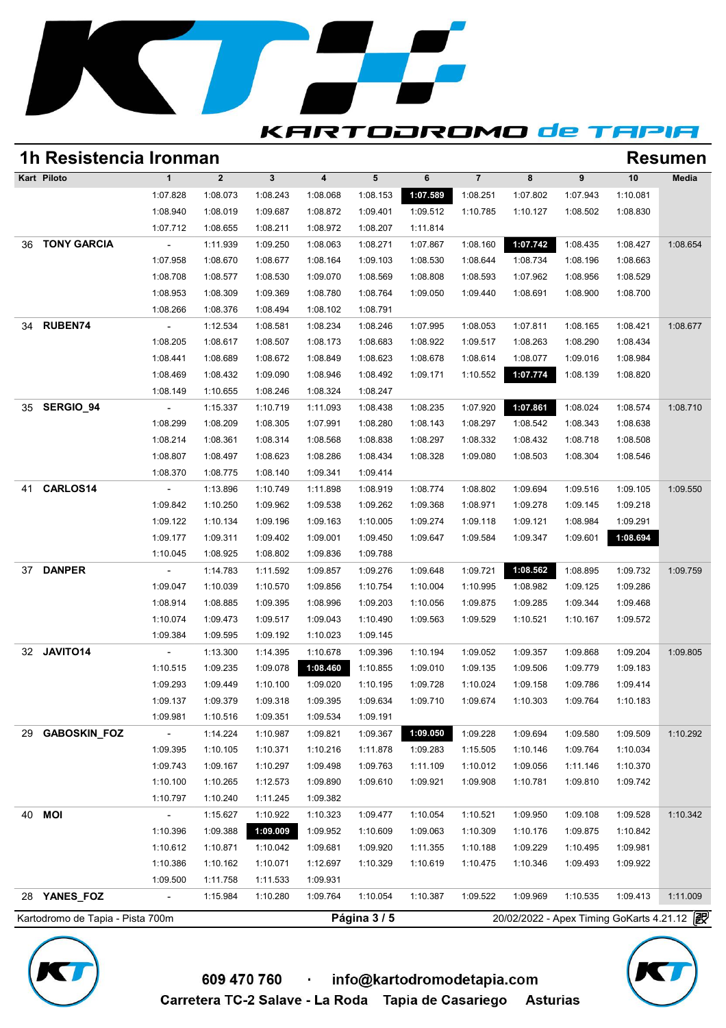

### **1h Resistencia Ironman Resumen**

**KARTODROMO de TAPIA** 

| <b>Resumen</b> |          |                  |          |                |          |                 |                         |              |              | 1h Resistencia Ironman   |                    |    |  |  |  |  |  |
|----------------|----------|------------------|----------|----------------|----------|-----------------|-------------------------|--------------|--------------|--------------------------|--------------------|----|--|--|--|--|--|
| Media          | 10       | $\boldsymbol{9}$ | 8        | $\overline{7}$ | 6        | $5\phantom{.0}$ | $\overline{\mathbf{4}}$ | $\mathbf{3}$ | $\mathbf{2}$ | $\mathbf{1}$             | Kart Piloto        |    |  |  |  |  |  |
|                | 1:10.081 | 1:07.943         | 1:07.802 | 1:08.251       | 1:07.589 | 1:08.153        | 1:08.068                | 1:08.243     | 1:08.073     | 1:07.828                 |                    |    |  |  |  |  |  |
|                | 1:08.830 | 1:08.502         | 1:10.127 | 1:10.785       | 1:09.512 | 1:09.401        | 1:08.872                | 1:09.687     | 1:08.019     | 1:08.940                 |                    |    |  |  |  |  |  |
|                |          |                  |          |                | 1:11.814 | 1:08.207        | 1:08.972                | 1:08.211     | 1:08.655     | 1:07.712                 |                    |    |  |  |  |  |  |
| 1:08.654       | 1:08.427 | 1:08.435         | 1:07.742 | 1:08.160       | 1:07.867 | 1:08.271        | 1:08.063                | 1:09.250     | 1:11.939     |                          | <b>TONY GARCIA</b> | 36 |  |  |  |  |  |
|                | 1:08.663 | 1:08.196         | 1:08.734 | 1:08.644       | 1:08.530 | 1:09.103        | 1:08.164                | 1:08.677     | 1:08.670     | 1:07.958                 |                    |    |  |  |  |  |  |
|                | 1:08.529 | 1:08.956         | 1:07.962 | 1:08.593       | 1:08.808 | 1:08.569        | 1:09.070                | 1:08.530     | 1:08.577     | 1:08.708                 |                    |    |  |  |  |  |  |
|                | 1:08.700 | 1:08.900         | 1:08.691 | 1:09.440       | 1:09.050 | 1:08.764        | 1:08.780                | 1:09.369     | 1:08.309     | 1:08.953                 |                    |    |  |  |  |  |  |
|                |          |                  |          |                |          | 1:08.791        | 1:08.102                | 1:08.494     | 1:08.376     | 1:08.266                 |                    |    |  |  |  |  |  |
| 1:08.677       | 1:08.421 | 1:08.165         | 1:07.811 | 1:08.053       | 1:07.995 | 1:08.246        | 1:08.234                | 1:08.581     | 1:12.534     |                          | <b>RUBEN74</b>     | 34 |  |  |  |  |  |
|                | 1:08.434 | 1:08.290         | 1:08.263 | 1:09.517       | 1:08.922 | 1:08.683        | 1:08.173                | 1:08.507     | 1:08.617     | 1:08.205                 |                    |    |  |  |  |  |  |
|                | 1:08.984 | 1:09.016         | 1:08.077 | 1:08.614       | 1:08.678 | 1:08.623        | 1:08.849                | 1:08.672     | 1:08.689     | 1:08.441                 |                    |    |  |  |  |  |  |
|                | 1:08.820 | 1:08.139         | 1:07.774 | 1:10.552       | 1:09.171 | 1:08.492        | 1:08.946                | 1:09.090     | 1:08.432     | 1:08.469                 |                    |    |  |  |  |  |  |
|                |          |                  |          |                |          | 1:08.247        | 1:08.324                | 1:08.246     | 1:10.655     | 1:08.149                 |                    |    |  |  |  |  |  |
| 1:08.710       | 1:08.574 | 1:08.024         | 1:07.861 | 1:07.920       | 1:08.235 | 1:08.438        | 1:11.093                | 1:10.719     | 1:15.337     | $\overline{\phantom{a}}$ | SERGIO_94          | 35 |  |  |  |  |  |
|                | 1:08.638 | 1:08.343         | 1:08.542 | 1:08.297       | 1:08.143 | 1:08.280        | 1:07.991                | 1:08.305     | 1:08.209     | 1:08.299                 |                    |    |  |  |  |  |  |
|                | 1:08.508 | 1:08.718         | 1:08.432 | 1:08.332       | 1:08.297 | 1:08.838        | 1:08.568                | 1:08.314     | 1:08.361     | 1:08.214                 |                    |    |  |  |  |  |  |
|                | 1:08.546 | 1:08.304         | 1:08.503 | 1:09.080       | 1:08.328 | 1:08.434        | 1:08.286                | 1:08.623     | 1:08.497     | 1:08.807                 |                    |    |  |  |  |  |  |
|                |          |                  |          |                |          | 1:09.414        | 1:09.341                | 1:08.140     | 1:08.775     | 1:08.370                 |                    |    |  |  |  |  |  |
| 1:09.550       | 1:09.105 | 1:09.516         | 1:09.694 | 1:08.802       | 1:08.774 | 1:08.919        | 1:11.898                | 1:10.749     | 1:13.896     | $\overline{\phantom{a}}$ | CARLOS14           | 41 |  |  |  |  |  |
|                | 1:09.218 | 1:09.145         | 1:09.278 | 1:08.971       | 1:09.368 | 1:09.262        | 1:09.538                | 1:09.962     | 1:10.250     | 1:09.842                 |                    |    |  |  |  |  |  |
|                | 1:09.291 | 1:08.984         | 1:09.121 | 1:09.118       | 1:09.274 | 1:10.005        | 1:09.163                | 1:09.196     | 1:10.134     | 1:09.122                 |                    |    |  |  |  |  |  |
|                | 1:08.694 | 1:09.601         | 1:09.347 | 1:09.584       | 1:09.647 | 1:09.450        | 1:09.001                | 1:09.402     | 1:09.311     | 1:09.177                 |                    |    |  |  |  |  |  |
|                |          |                  |          |                |          | 1:09.788        | 1:09.836                | 1:08.802     | 1:08.925     | 1:10.045                 |                    |    |  |  |  |  |  |
| 1:09.759       | 1:09.732 | 1:08.895         | 1:08.562 | 1:09.721       | 1:09.648 | 1:09.276        | 1:09.857                | 1:11.592     | 1:14.783     | $\overline{\phantom{a}}$ | <b>DANPER</b>      | 37 |  |  |  |  |  |
|                | 1:09.286 | 1:09.125         | 1:08.982 | 1:10.995       | 1:10.004 | 1:10.754        | 1:09.856                | 1:10.570     | 1:10.039     | 1:09.047                 |                    |    |  |  |  |  |  |
|                | 1:09.468 | 1:09.344         | 1:09.285 | 1:09.875       | 1:10.056 | 1:09.203        | 1:08.996                | 1:09.395     | 1:08.885     | 1:08.914                 |                    |    |  |  |  |  |  |
|                | 1:09.572 | 1:10.167         | 1:10.521 | 1:09.529       | 1:09.563 | 1:10.490        | 1:09.043                | 1:09.517     | 1:09.473     | 1:10.074                 |                    |    |  |  |  |  |  |
|                |          |                  |          |                |          | 1:09.145        | 1:10.023                | 1:09.192     | 1:09.595     | 1:09.384                 |                    |    |  |  |  |  |  |
|                |          |                  |          |                |          |                 |                         |              |              |                          |                    |    |  |  |  |  |  |
| 1:09.805       | 1:09.204 | 1:09.868         | 1:09.357 | 1:09.052       | 1:10.194 | 1:09.396        | 1:10.678                | 1:14.395     | 1:13.300     | $\overline{\phantom{a}}$ | JAVITO14           | 32 |  |  |  |  |  |
|                | 1:09.183 | 1:09.779         | 1:09.506 | 1:09.135       | 1:09.010 | 1:10.855        | 1:08.460                | 1:09.078     | 1:09.235     | 1:10.515                 |                    |    |  |  |  |  |  |
|                | 1:09.414 | 1:09.786         | 1:09.158 | 1:10.024       | 1:09.728 | 1:10.195        | 1:09.020                | 1:10.100     | 1:09.449     | 1:09.293                 |                    |    |  |  |  |  |  |
|                | 1:10.183 | 1:09.764         | 1:10.303 | 1:09.674       | 1:09.710 | 1:09.634        | 1:09.395                | 1:09.318     | 1:09.379     | 1:09.137                 |                    |    |  |  |  |  |  |
|                |          |                  |          |                |          | 1:09.191        | 1:09.534                | 1:09.351     | 1:10.516     | 1:09.981                 |                    |    |  |  |  |  |  |
| 1:10.292       | 1:09.509 | 1:09.580         | 1:09.694 | 1:09.228       | 1:09.050 | 1:09.367        | 1:09.821                | 1:10.987     | 1:14.224     | $\overline{\phantom{a}}$ | GABOSKIN_FOZ       | 29 |  |  |  |  |  |
|                | 1:10.034 | 1:09.764         | 1:10.146 | 1:15.505       | 1:09.283 | 1:11.878        | 1:10.216                | 1:10.371     | 1:10.105     | 1:09.395                 |                    |    |  |  |  |  |  |
|                | 1:10.370 | 1:11.146         | 1:09.056 | 1:10.012       | 1:11.109 | 1:09.763        | 1:09.498                | 1:10.297     | 1:09.167     | 1:09.743                 |                    |    |  |  |  |  |  |
|                | 1:09.742 | 1:09.810         | 1:10.781 | 1:09.908       | 1:09.921 | 1:09.610        | 1:09.890                | 1:12.573     | 1:10.265     | 1:10.100                 |                    |    |  |  |  |  |  |
|                |          |                  |          |                |          |                 | 1:09.382                | 1:11.245     | 1:10.240     | 1:10.797                 |                    |    |  |  |  |  |  |
| 1:10.342       | 1:09.528 | 1:09.108         | 1:09.950 | 1:10.521       | 1:10.054 | 1:09.477        | 1:10.323                | 1:10.922     | 1:15.627     | $\overline{\phantom{a}}$ | <b>MOI</b>         | 40 |  |  |  |  |  |
|                | 1:10.842 | 1:09.875         | 1:10.176 | 1:10.309       | 1:09.063 | 1:10.609        | 1:09.952                | 1:09.009     | 1:09.388     | 1:10.396                 |                    |    |  |  |  |  |  |
|                | 1:09.981 | 1:10.495         | 1:09.229 | 1:10.188       | 1:11.355 | 1:09.920        | 1:09.681                | 1:10.042     | 1:10.871     | 1:10.612                 |                    |    |  |  |  |  |  |
|                | 1:09.922 | 1:09.493         | 1:10.346 | 1:10.475       | 1:10.619 | 1:10.329        | 1:12.697                | 1:10.071     | 1:10.162     | 1:10.386                 |                    |    |  |  |  |  |  |
|                |          |                  |          |                |          |                 | 1:09.931                | 1:11.533     | 1:11.758     | 1:09.500                 |                    |    |  |  |  |  |  |
| 1:11.009       | 1:09.413 | 1:10.535         | 1:09.969 | 1:09.522       | 1:10.387 | 1:10.054        | 1:09.764                | 1:10.280     | 1:15.984     |                          | 28 YANES_FOZ       |    |  |  |  |  |  |



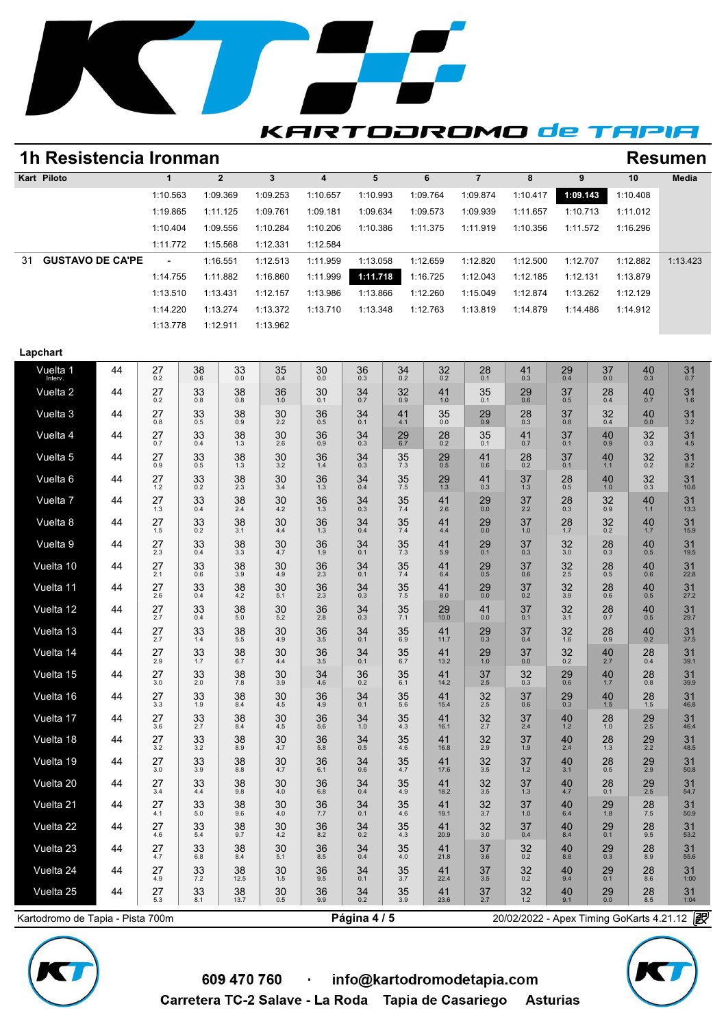

### **KARTODROMO de TAPIA**

## **1h Resistencia Ironman Resumen**

|    | 1h Resistencia Ironman  | <b>Resumen</b> |              |          |          |          |          |          |          |          |          |          |  |  |  |
|----|-------------------------|----------------|--------------|----------|----------|----------|----------|----------|----------|----------|----------|----------|--|--|--|
|    | Kart Piloto             |                | $\mathbf{2}$ | 3        |          | 5        | 6        |          | 8        | 9        | 10       | Media    |  |  |  |
|    |                         | 1:10.563       | 1:09.369     | 1:09.253 | 1:10.657 | 1:10.993 | 1:09.764 | 1:09.874 | 1:10.417 | 1:09.143 | 1:10.408 |          |  |  |  |
|    |                         | 1:19.865       | 1:11.125     | 1:09.761 | 1:09.181 | 1:09.634 | 1:09.573 | 1:09.939 | 1:11.657 | 1:10.713 | 1:11.012 |          |  |  |  |
|    |                         | 1:10.404       | 1:09.556     | 1:10.284 | 1:10.206 | 1:10.386 | 1:11.375 | 1:11.919 | 1:10.356 | 1:11.572 | 1:16.296 |          |  |  |  |
|    |                         | 1:11.772       | 1:15.568     | 1:12.331 | 1:12.584 |          |          |          |          |          |          |          |  |  |  |
| 31 | <b>GUSTAVO DE CA'PE</b> | $\overline{a}$ | 1:16.551     | 1:12.513 | 1:11.959 | 1:13.058 | 1:12.659 | 1:12.820 | 1:12.500 | 1:12.707 | 1:12.882 | 1:13.423 |  |  |  |
|    |                         | 1:14.755       | 1:11.882     | 1:16.860 | 1:11.999 | 1:11.718 | 1:16.725 | 1:12.043 | 1:12.185 | 1:12.131 | 1:13.879 |          |  |  |  |
|    |                         | 1:13.510       | 1:13.431     | 1:12.157 | 1:13.986 | 1:13.866 | 1:12.260 | 1:15.049 | 1:12.874 | 1:13.262 | 1:12.129 |          |  |  |  |
|    |                         | 1:14.220       | 1:13.274     | 1:13.372 | 1:13.710 | 1:13.348 | 1:12.763 | 1:13.819 | 1:14.879 | 1:14.486 | 1:14.912 |          |  |  |  |
|    |                         | 1:13.778       | 1:12.911     | 1:13.962 |          |          |          |          |          |          |          |          |  |  |  |

#### **Lapchart**

| Vuelta 1<br>Interv. | 44 | 27<br>0.2 | 38<br>0.6 | 33<br>0.0  | 35<br>0.4 | 30<br>0.0     | 36<br>0.3 | 34<br>0.2 | 32<br>0.2  | 28<br>0.1     | 41<br>0.3 | 29<br>0.4 | 37<br>0.0   | 40<br>$0.\overline{3}$ | 31<br>0.7  |  |
|---------------------|----|-----------|-----------|------------|-----------|---------------|-----------|-----------|------------|---------------|-----------|-----------|-------------|------------------------|------------|--|
| Vuelta 2            | 44 | 27<br>0.2 | 33<br>0.8 | 38<br>0.8  | 36<br>1.0 | 30<br>0.1     | 34<br>0.7 | 32<br>0.9 | 41<br>1.0  | 35<br>0.1     | 29<br>0.6 | 37<br>0.5 | 28<br>0.4   | 40<br>0.7              | 31<br>1.6  |  |
| Vuelta 3            | 44 | 27<br>0.8 | 33<br>0.5 | 38<br>0.9  | 30<br>2.2 | 36<br>0.5     | 34<br>0.1 | 41<br>4.1 | 35<br>0.0  | $^{29}_{0.9}$ | 28<br>0.3 | 37<br>0.8 | 32<br>0.4   | 40<br>0.0              | 31<br>3.2  |  |
| Vuelta 4            | 44 | 27<br>0.7 | 33<br>0.4 | 38<br>1.3  | 30<br>2.6 | 36<br>0.9     | 34<br>0.3 | 29<br>6.7 | 28<br>0.2  | 35<br>0.1     | 41<br>0.7 | 37<br>0.1 | 40<br>0.9   | 32<br>0.3              | 31<br>4.5  |  |
| Vuelta 5            | 44 | 27<br>0.9 | 33<br>0.5 | 38<br>1.3  | 30<br>3.2 | 36<br>1.4     | 34<br>0.3 | 35<br>7.3 | 29<br>0.5  | 41<br>0.6     | 28<br>0.2 | 37<br>0.1 | 40<br>$1.1$ | $32_{0.2}$             | 31<br>8.2  |  |
| Vuelta 6            | 44 | 27<br>1.2 | 33<br>0.2 | 38<br>2.3  | 30<br>3.4 | 36<br>1.3     | 34<br>0.4 | 35<br>7.5 | 29<br>1.3  | 41<br>0.3     | 37<br>1.3 | 28<br>0.5 | 40<br>1.0   | 32<br>0.3              | 31<br>10.6 |  |
| Vuelta 7            | 44 | 27<br>1.3 | 33<br>0.4 | 38<br>2.4  | 30<br>4.2 | 36<br>1.3     | 34<br>0.3 | 35<br>7.4 | 41<br>2.6  | 29<br>0.0     | 37<br>2.2 | 28<br>0.3 | 32<br>0.9   | 40<br>$1.1$            | 31<br>13.3 |  |
| Vuelta 8            | 44 | 27<br>1.5 | 33<br>0.2 | 38<br>3.1  | 30<br>4.4 | 36<br>1.3     | 34<br>0.4 | 35<br>7.4 | 41<br>4.4  | 29<br>0.0     | 37<br>1.0 | 28<br>1.7 | 32<br>0.2   | 40<br>1.7              | 31<br>15.9 |  |
| Vuelta 9            | 44 | 27<br>2.3 | 33<br>0.4 | 38<br>3.3  | 30<br>4.7 | 36<br>1.9     | 34<br>0.1 | 35<br>7.3 | 41<br>5.9  | 29<br>0.1     | 37<br>0.3 | 32<br>3.0 | 28<br>0.3   | 40<br>0.5              | 31<br>19.5 |  |
| Vuelta 10           | 44 | 27<br>2.1 | 33<br>0.6 | 38<br>3.9  | 30<br>4.9 | 36<br>2.3     | 34<br>0.1 | 35<br>7.4 | 41<br>6.4  | 29<br>0.5     | 37<br>0.6 | 32<br>2.5 | 28<br>0.5   | 40<br>0.6              | 31<br>22.8 |  |
| Vuelta 11           | 44 | 27<br>2.6 | 33<br>0.4 | 38<br>4.2  | 30<br>5.1 | 36<br>2.3     | 34<br>0.3 | 35<br>7.5 | 41<br>8.0  | $^{29}_{0.0}$ | 37<br>0.2 | 32<br>3.9 | 28<br>0.6   | $^{40}_{0.5}$          | 31<br>27.2 |  |
| Vuelta 12           | 44 | 27<br>2.7 | 33<br>0.4 | 38<br>5.0  | 30<br>5.2 | 36<br>2.8     | 34<br>0.3 | 35<br>7.1 | 29<br>10.0 | 41<br>0.0     | 37<br>0.1 | 32<br>3.1 | 28<br>0.7   | 40<br>0.5              | 31<br>29.7 |  |
| Vuelta 13           | 44 | 27<br>2.7 | 33<br>1.4 | 38<br>5.5  | 30<br>4.9 | 36<br>3.5     | 34<br>0.1 | 35<br>6.9 | 41<br>11.7 | $^{29}_{0.3}$ | 37<br>0.4 | 32<br>1.6 | 28<br>0.9   | $^{40}_{0.2}$          | 31<br>37.5 |  |
| Vuelta 14           | 44 | 27<br>2.9 | 33<br>1.7 | 38<br>6.7  | 30<br>4.4 | 36<br>3.5     | 34<br>0.1 | 35<br>6.7 | 41<br>13.2 | 29<br>1.0     | 37<br>0.0 | 32<br>0.2 | 40<br>2.7   | 28<br>0.4              | 31<br>39.1 |  |
| Vuelta 15           | 44 | 27<br>3.0 | 33<br>2.0 | 38<br>7.8  | 30<br>3.9 | $34$<br>$4.6$ | 36<br>0.2 | 35<br>6.1 | 41<br>14.2 | 37<br>2.5     | 32<br>0.3 | 29<br>0.6 | 40<br>1.7   | 28<br>0.8              | 31<br>39.9 |  |
| Vuelta 16           | 44 | 27<br>3.3 | 33<br>1.9 | 38<br>8.4  | 30<br>4.5 | 36<br>4.9     | 34<br>0.1 | 35<br>5.6 | 41<br>15.4 | 32<br>2.5     | 37<br>0.6 | 29<br>0.3 | 40<br>1.5   | 28<br>1.5              | 31<br>46.8 |  |
| Vuelta 17           | 44 | 27<br>3.6 | 33<br>2.7 | 38<br>8.4  | 30<br>4.5 | 36<br>5.6     | 34<br>1.0 | 35<br>4.3 | 41<br>16.1 | 32<br>2.7     | 37<br>2.4 | 40<br>1.2 | 28<br>1.0   | $\frac{29}{2.5}$       | 31<br>46.4 |  |
| Vuelta 18           | 44 | 27<br>3.2 | 33<br>3.2 | 38<br>8.9  | 30<br>4.7 | 36<br>5.8     | 34<br>0.5 | 35<br>4.6 | 41<br>16.8 | 32<br>2.9     | 37<br>1.9 | 40<br>2.4 | 28<br>1.3   | 29<br>2.2              | 31<br>48.5 |  |
| Vuelta 19           | 44 | 27<br>3.0 | 33<br>3.9 | 38<br>8.8  | 30<br>4.7 | 36<br>6.1     | 34<br>0.6 | 35<br>4.7 | 41<br>17.6 | 32<br>3.5     | 37<br>1.2 | 40<br>3.1 | 28<br>0.5   | $\frac{29}{2.9}$       | 31<br>50.8 |  |
| Vuelta 20           | 44 | 27<br>3.4 | 33<br>4.4 | 38<br>9.8  | 30<br>4.0 | 36<br>6.8     | 34<br>0.4 | 35<br>4.9 | 41<br>18.2 | 32<br>3.5     | 37<br>1.3 | 40<br>4.7 | 28<br>0.1   | $\frac{29}{2.5}$       | 31<br>54.7 |  |
| Vuelta 21           | 44 | 27<br>4.1 | 33<br>5.0 | 38<br>9.6  | 30<br>4.0 | 36<br>7.7     | 34<br>0.1 | 35<br>4.6 | 41<br>19.1 | 32<br>3.7     | 37<br>1.0 | 40<br>6.4 | 29<br>1.8   | 28<br>7.5              | 31<br>50.9 |  |
| Vuelta 22           | 44 | 27<br>4.6 | 33<br>5.4 | 38<br>9.7  | 30<br>4.2 | 36<br>8.2     | 34<br>0.2 | 35<br>4.3 | 41<br>20.9 | 32<br>3.0     | 37<br>0.4 | 40<br>8.4 | 29<br>0.1   | 28<br>9.5              | 31<br>53.2 |  |
| Vuelta 23           | 44 | 27<br>4.7 | 33<br>6.8 | 38<br>8.4  | 30<br>5.1 | 36<br>8.5     | 34<br>0.4 | 35<br>4.0 | 41<br>21.8 | 37<br>3.6     | 32<br>0.2 | 40<br>8.8 | 29<br>0.3   | 28<br>8.9              | 31<br>55.6 |  |
| Vuelta 24           | 44 | 27<br>4.9 | 33<br>7.2 | 38<br>12.5 | 30<br>1.5 | 369.5         | 34<br>0.1 | 35<br>3.7 | 41<br>22.4 | 37<br>3.5     | 32<br>0.2 | 40<br>9.4 | 29<br>0.1   | $^{28}_{8.6}$          | 31<br>1:00 |  |
| Vuelta 25           | 44 | 27<br>5.3 | 33<br>8.1 | 38<br>13.7 | 30<br>0.5 | 36<br>9.9     | 34<br>0.2 | 35<br>3.9 | 41<br>23.6 | 37<br>2.7     | 32<br>1.2 | 40<br>9.1 | 29<br>0.0   | 28<br>8.5              | 31<br>1:04 |  |

Kartodromo de Tapia - Pista 700m **Página 4 / 5 Página 4 / 5** 20/02/2022 - Apex Timing GoKarts 4.21.12